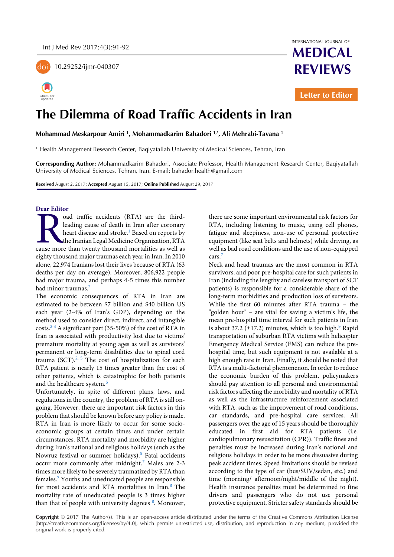

10.29252/ijmr-040307



INTERNATIONAL JOURNAL OF **MEDICAL** 

**REVIEWS**

**Letter to Editor**

# **The Dilemma of Road Traffic Accidents in Iran**

**Mohammad Meskarpour Amiri <sup>1</sup> , Mohammadkarim Bahadori 1,\*, Ali Mehrabi-Tavana <sup>1</sup>**

1 Health Management Research Center, Baqiyatallah University of Medical Sciences, Tehran, Iran

**Corresponding Author:** Mohammadkarim Bahadori, Associate Professor, Health Management Research Center, Baqiyatallah University of Medical Sciences, Tehran, Iran. E-mail: bahadorihealth@gmail.com

**Received** August 2, 2017; **Accepted** August 15, 2017; **Online Published** August 29, 2017

## **Dear Editor**

oad traffic accidents (RTA) are the thirdleading cause of death in Iran after coronary heart disease and stroke.<sup>[1](#page-1-0)</sup> Based on reports by the Iranian Legal Medicine Organization, RTA and traffic accidents (RTA) are the third-<br>leading cause of death in Iran after coronary<br>heart disease and stroke.<sup>1</sup> Based on reports by<br>the Iranian Legal Medicine Organization, RTA<br>cause more than twenty thousand mortali eighty thousand major traumas each year in Iran. In 2010 alone, 22,974 Iranians lost their lives because of RTA (63 deaths per day on average). Moreover, 806,922 people had major trauma, and perhaps 4-5 times this number had minor trauma[s.](#page-1-1)<sup>2</sup>

The economic consequences of RTA in Iran are estimated to be between \$7 billion and \$40 billion US each year (2-4% of Iran's GDP), depending on the method used to consider direct, indirect, and intangible costs.[2-4](#page-1-1) A significant part (35-50%) of the cost of RTA in Iran is associated with productivity lost due to victims' premature mortality at young ages as well as survivors' permanent or long-term disabilities due to spinal cord trauma(SCT). $2, 5$  $2, 5$  The cost of hospitalization for each RTA patient is nearly 15 times greater than the cost of other patients, which is catastrophic for both patients and the healthcare system.<sup>[6](#page-1-3)</sup>

Unfortunately, in spite of different plans, laws, and regulations in the country, the problem of RTA is still ongoing. However, there are important risk factors in this problem that should be known before any policy is made. RTA in Iran is more likely to occur for some socioeconomic groups at certain times and under certain circumstances. RTA [mortality and morbidity](https://www.google.com/url?sa=t&rct=j&q=&esrc=s&source=web&cd=1&cad=rja&uact=8&ved=0ahUKEwis4aOO6_nOAhXDWRQKHYRPDqQQFggcMAA&url=http%3A%2F%2Fwww.ncbi.nlm.nih.gov%2Fpmc%2Farticles%2FPMC2491524%2F&usg=AFQjCNE_Y3aK-ZOaZUvdyr86hxHIot0IoA&bvm=bv.131783435,d.d2s) are higher during Iran's national and religious holidays (such as the Nowruz festival or summer holidays[\).](#page-1-2)<sup>5</sup> Fatal accidents occurmore commonly after midnight.<sup>7</sup> Males are 2-3 times more likely to be severely traumatized by RTA than female[s.](#page-1-4)<sup>7</sup> Youths and uneducated people are responsible for most accidents and RTA mortalities in Ira[n.](#page-1-5)<sup>8</sup> The mortality rate of uneducated people is 3 times higher than that of people with university degrees <sup>8</sup>[.](#page-1-5) Moreover, there are some important environmental risk factors for RTA, including listening to music, using cell phones, fatigue and sleepiness, non-use of personal protective equipment (like seat belts and helmets) while driving, as well as bad road conditions and the use of non-equipped cars.[7](#page-1-4)

Neck and head traumas are the most common in RTA survivors, and poo[r pre-hospital care for such patients in](https://www.google.com/url?sa=t&rct=j&q=&esrc=s&source=web&cd=1&cad=rja&uact=8&ved=0ahUKEwjxn76t-IPPAhUL7BQKHSL_Aa0QFgghMAA&url=http%3A%2F%2Fwww.ncbi.nlm.nih.gov%2Fpmc%2Farticles%2FPMC3127360%2F&usg=AFQjCNGY0aOyJwsBuChokK1bWBgzG4jCNg&bvm=bv.132479545,d.bGg)  [Iran \(including the lengthy and careless transport of SCT](https://www.google.com/url?sa=t&rct=j&q=&esrc=s&source=web&cd=1&cad=rja&uact=8&ved=0ahUKEwjxn76t-IPPAhUL7BQKHSL_Aa0QFgghMAA&url=http%3A%2F%2Fwww.ncbi.nlm.nih.gov%2Fpmc%2Farticles%2FPMC3127360%2F&usg=AFQjCNGY0aOyJwsBuChokK1bWBgzG4jCNg&bvm=bv.132479545,d.bGg)  [patients\)](https://www.google.com/url?sa=t&rct=j&q=&esrc=s&source=web&cd=1&cad=rja&uact=8&ved=0ahUKEwjxn76t-IPPAhUL7BQKHSL_Aa0QFgghMAA&url=http%3A%2F%2Fwww.ncbi.nlm.nih.gov%2Fpmc%2Farticles%2FPMC3127360%2F&usg=AFQjCNGY0aOyJwsBuChokK1bWBgzG4jCNg&bvm=bv.132479545,d.bGg) is responsible for a considerable share of the [long-term morbidities](https://www.google.com/url?sa=t&rct=j&q=&esrc=s&source=web&cd=1&cad=rja&uact=8&ved=0ahUKEwjF3Ia1_IPPAhUE6RQKHRb5B9kQFgghMAA&url=http%3A%2F%2Fwww.ncbi.nlm.nih.gov%2Fpubmed%2F17691031&usg=AFQjCNGWfu2QgXzNUSxA9Bebcb9t1O4uOQ) and production loss of survivors. While the first 60 minutes after RTA trauma – the "golden hour" – are vital for saving a victim's life, the mean pre-hospital time interval for such patients in Iran is about 37.2  $(\pm 17.2)$  minutes, which is too hig[h.](#page-1-6)<sup>9</sup> Rapid transportation of suburban RTA victims with helicopter Emergency Medical Service (EMS) can reduce the prehospital time, but such equipment is not available at a high enough rate in Iran. Finally, it should be noted that RTA is a multi-factorial phenomenon. In order to reduce the economic burden of this problem, policymakers should pay attention to all personal and environmental risk factors affecting the morbidity and mortality of RTA as well as the infrastructure reinforcement associated with RTA, such as the improvement of road conditions, car standards, and pre-hospital care services. All passengers over the age of 15 years should be thoroughly educated in first aid for RTA patients (i.e. cardiopulmonary resuscitation (CPR)). Traffic fines and penalties must be increased during Iran's national and religious holidays in order to be more dissuasive during peak accident times. Speed limitations should be revised according to the type of car (bus/SUV/sedan, etc.) and time (morning/ afternoon/night/middle of the night). Health insurance penalties must be determined to fine drivers and passengers who do not use personal protective equipment. Stricter safety standards should be

**Copyright** © 2017 The Author(s). This is an open-access article distributed under the terms of the Creative Commons Attribution License (http://creativecommons.org/licenses/by/4.0), which permits unrestricted use, distribution, and reproduction in any medium, provided the original work is properly cited.